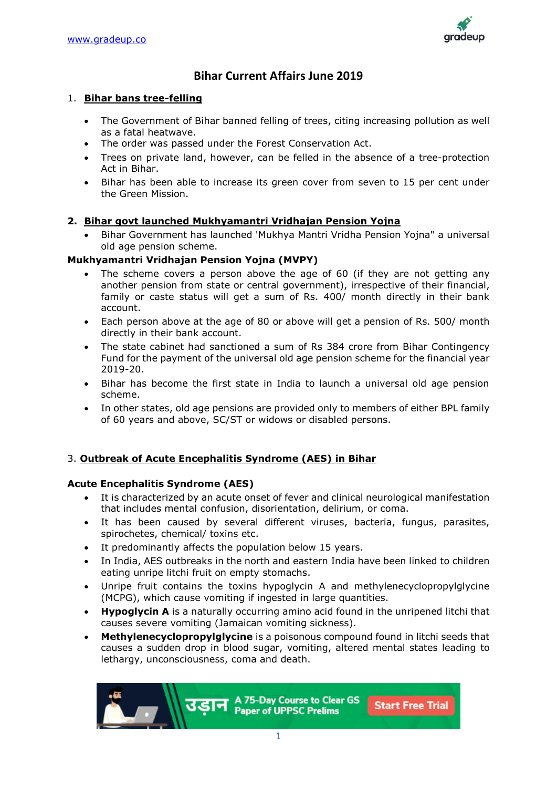

# **Bihar Current Affairs June 2019**

#### 1. **Bihar bans tree-felling**

- The Government of Bihar banned felling of trees, citing increasing pollution as well as a fatal heatwave.
- The order was passed under the Forest Conservation Act.
- Trees on private land, however, can be felled in the absence of a tree-protection Act in Bihar.
- Bihar has been able to increase its green cover from seven to 15 per cent under the Green Mission.

## **2. Bihar govt launched Mukhyamantri Vridhajan Pension Yojna**

• Bihar Government has launched 'Mukhya Mantri Vridha Pension Yojna" a universal old age pension scheme.

## **Mukhyamantri Vridhajan Pension Yojna (MVPY)**

- The scheme covers a person above the age of 60 (if they are not getting any another pension from state or central government), irrespective of their financial, family or caste status will get a sum of Rs. 400/ month directly in their bank account.
- Each person above at the age of 80 or above will get a pension of Rs. 500/ month directly in their bank account.
- The state cabinet had sanctioned a sum of Rs 384 crore from Bihar Contingency Fund for the payment of the universal old age pension scheme for the financial year 2019-20.
- Bihar has become the first state in India to launch a universal old age pension scheme.
- In other states, old age pensions are provided only to members of either BPL family of 60 years and above, SC/ST or widows or disabled persons.

## 3. **Outbreak of Acute Encephalitis Syndrome (AES) in Bihar**

## **Acute Encephalitis Syndrome (AES)**

- It is characterized by an acute onset of fever and clinical neurological manifestation that includes mental confusion, disorientation, delirium, or coma.
- It has been caused by several different viruses, bacteria, fungus, parasites, spirochetes, chemical/ toxins etc.
- It predominantly affects the population below 15 years.
- In India, AES outbreaks in the north and eastern India have been linked to children eating unripe litchi fruit on empty stomachs.
- Unripe fruit contains the toxins hypoglycin A and methylenecyclopropylglycine (MCPG), which cause vomiting if ingested in large quantities.
- **Hypoglycin A** is a naturally occurring amino acid found in the unripened litchi that causes severe vomiting (Jamaican vomiting sickness).
- **Methylenecyclopropylglycine** is a poisonous compound found in litchi seeds that causes a sudden drop in blood sugar, vomiting, altered mental states leading to lethargy, unconsciousness, coma and death.

A 75-Day Course to Clear GS रतात **Start Free Trial Paper of UPPSC Prelims**